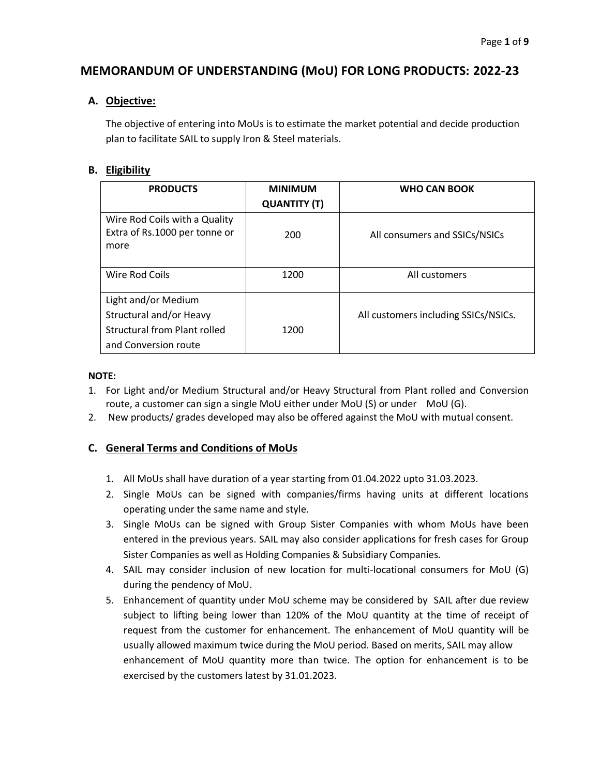# **MEMORANDUM OF UNDERSTANDING (MoU) FOR LONG PRODUCTS: 2022-23**

# **A. Objective:**

The objective of entering into MoUs is to estimate the market potential and decide production plan to facilitate SAIL to supply Iron & Steel materials.

# **B. Eligibility**

| <b>PRODUCTS</b>               | <b>MINIMUM</b>      | <b>WHO CAN BOOK</b>                  |  |
|-------------------------------|---------------------|--------------------------------------|--|
|                               | <b>QUANTITY (T)</b> |                                      |  |
| Wire Rod Coils with a Quality |                     |                                      |  |
| Extra of Rs.1000 per tonne or | 200                 | All consumers and SSICs/NSICs        |  |
| more                          |                     |                                      |  |
|                               |                     |                                      |  |
| Wire Rod Coils                | 1200                | All customers                        |  |
|                               |                     |                                      |  |
| Light and/or Medium           |                     |                                      |  |
| Structural and/or Heavy       |                     | All customers including SSICs/NSICs. |  |
| Structural from Plant rolled  | 1200                |                                      |  |
| and Conversion route          |                     |                                      |  |

#### **NOTE:**

- 1. For Light and/or Medium Structural and/or Heavy Structural from Plant rolled and Conversion route, a customer can sign a single MoU either under MoU (S) or under MoU (G).
- 2. New products/ grades developed may also be offered against the MoU with mutual consent.

## **C. General Terms and Conditions of MoUs**

- 1. All MoUs shall have duration of a year starting from 01.04.2022 upto 31.03.2023.
- 2. Single MoUs can be signed with companies/firms having units at different locations operating under the same name and style.
- 3. Single MoUs can be signed with Group Sister Companies with whom MoUs have been entered in the previous years. SAIL may also consider applications for fresh cases for Group Sister Companies as well as Holding Companies & Subsidiary Companies.
- 4. SAIL may consider inclusion of new location for multi-locational consumers for MoU (G) during the pendency of MoU.
- 5. Enhancement of quantity under MoU scheme may be considered by SAIL after due review subject to lifting being lower than 120% of the MoU quantity at the time of receipt of request from the customer for enhancement. The enhancement of MoU quantity will be usually allowed maximum twice during the MoU period. Based on merits, SAIL may allow enhancement of MoU quantity more than twice. The option for enhancement is to be exercised by the customers latest by 31.01.2023.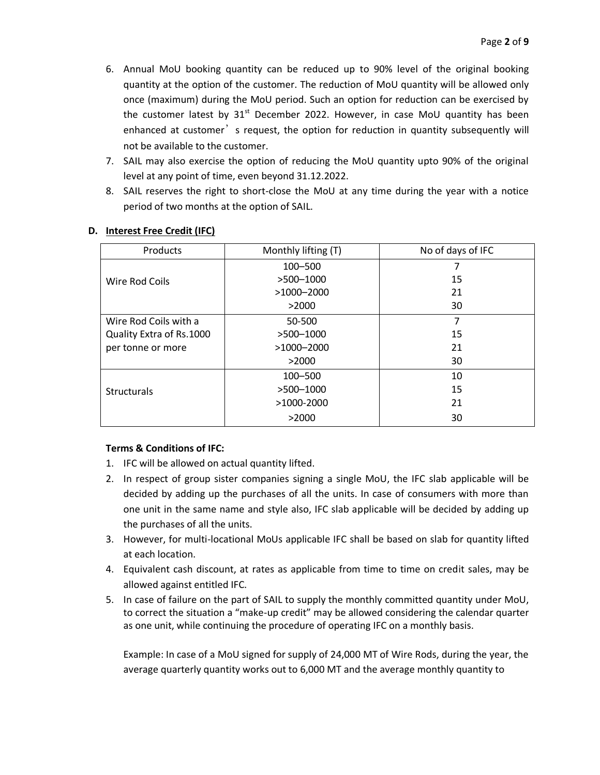- 6. Annual MoU booking quantity can be reduced up to 90% level of the original booking quantity at the option of the customer. The reduction of MoU quantity will be allowed only once (maximum) during the MoU period. Such an option for reduction can be exercised by the customer latest by  $31<sup>st</sup>$  December 2022. However, in case MoU quantity has been enhanced at customer<sup>'</sup> s request, the option for reduction in quantity subsequently will not be available to the customer.
- 7. SAIL may also exercise the option of reducing the MoU quantity upto 90% of the original level at any point of time, even beyond 31.12.2022.
- 8. SAIL reserves the right to short-close the MoU at any time during the year with a notice period of two months at the option of SAIL.

| Products                 | Monthly lifting (T) | No of days of IFC |  |
|--------------------------|---------------------|-------------------|--|
|                          | 100-500             |                   |  |
| Wire Rod Coils           | >500-1000           | 15                |  |
|                          | >1000-2000          | 21                |  |
|                          | >2000               | 30                |  |
| Wire Rod Coils with a    | 50-500              | 7                 |  |
| Quality Extra of Rs.1000 | >500-1000           | 15                |  |
| per tonne or more        | >1000-2000          | 21                |  |
|                          | >2000               | 30                |  |
|                          | 100-500             | 10                |  |
| <b>Structurals</b>       | $>500 - 1000$       | 15                |  |
|                          | >1000-2000          | 21                |  |
|                          | >2000               | 30                |  |

## **D. Interest Free Credit (IFC)**

#### **Terms & Conditions of IFC:**

- 1. IFC will be allowed on actual quantity lifted.
- 2. In respect of group sister companies signing a single MoU, the IFC slab applicable will be decided by adding up the purchases of all the units. In case of consumers with more than one unit in the same name and style also, IFC slab applicable will be decided by adding up the purchases of all the units.
- 3. However, for multi-locational MoUs applicable IFC shall be based on slab for quantity lifted at each location.
- 4. Equivalent cash discount, at rates as applicable from time to time on credit sales, may be allowed against entitled IFC.
- 5. In case of failure on the part of SAIL to supply the monthly committed quantity under MoU, to correct the situation a "make-up credit" may be allowed considering the calendar quarter as one unit, while continuing the procedure of operating IFC on a monthly basis.

Example: In case of a MoU signed for supply of 24,000 MT of Wire Rods, during the year, the average quarterly quantity works out to 6,000 MT and the average monthly quantity to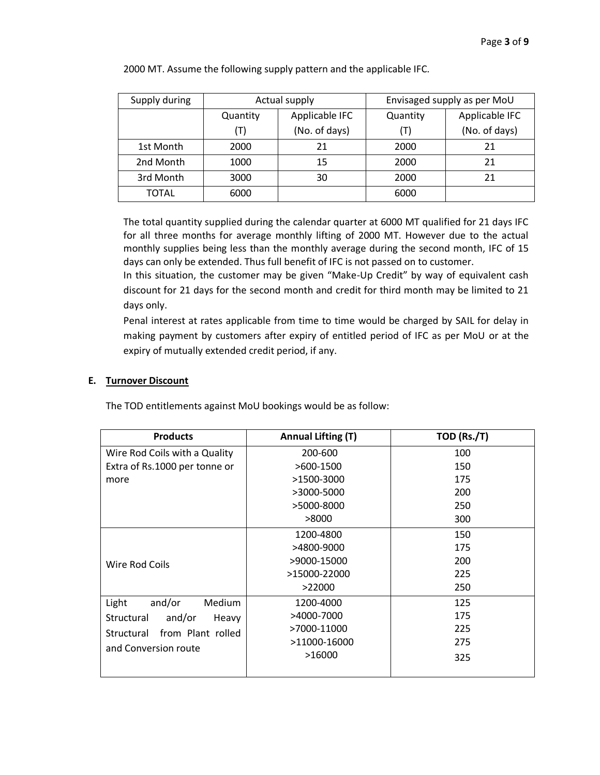| Supply during | Actual supply |                | Envisaged supply as per MoU |                |
|---------------|---------------|----------------|-----------------------------|----------------|
|               | Quantity      | Applicable IFC | Quantity                    | Applicable IFC |
|               | (T)           | (No. of days)  | (T)                         | (No. of days)  |
| 1st Month     | 2000          | 21             | 2000                        | 21             |
| 2nd Month     | 1000          | 15             | 2000                        | 21             |
| 3rd Month     | 3000          | 30             | 2000                        | 21             |
| TOTAL         | 6000          |                | 6000                        |                |

2000 MT. Assume the following supply pattern and the applicable IFC.

The total quantity supplied during the calendar quarter at 6000 MT qualified for 21 days IFC for all three months for average monthly lifting of 2000 MT. However due to the actual monthly supplies being less than the monthly average during the second month, IFC of 15 days can only be extended. Thus full benefit of IFC is not passed on to customer.

In this situation, the customer may be given "Make-Up Credit" by way of equivalent cash discount for 21 days for the second month and credit for third month may be limited to 21 days only.

Penal interest at rates applicable from time to time would be charged by SAIL for delay in making payment by customers after expiry of entitled period of IFC as per MoU or at the expiry of mutually extended credit period, if any.

## **E. Turnover Discount**

The TOD entitlements against MoU bookings would be as follow:

| <b>Products</b>                                                                                                              | <b>Annual Lifting (T)</b>                                               | TOD (Rs./T)                            |
|------------------------------------------------------------------------------------------------------------------------------|-------------------------------------------------------------------------|----------------------------------------|
| Wire Rod Coils with a Quality<br>Extra of Rs.1000 per tonne or<br>more                                                       | 200-600<br>>600-1500<br>>1500-3000<br>>3000-5000<br>>5000-8000<br>>8000 | 100<br>150<br>175<br>200<br>250<br>300 |
| Wire Rod Coils                                                                                                               | 1200-4800<br>>4800-9000<br>>9000-15000<br>>15000-22000<br>>22000        | 150<br>175<br>200<br>225<br>250        |
| and/or<br>Light<br>Medium<br>and/or<br><b>Structural</b><br>Heavy<br>from Plant rolled<br>Structural<br>and Conversion route | 1200-4000<br>>4000-7000<br>>7000-11000<br>>11000-16000<br>>16000        | 125<br>175<br>225<br>275<br>325        |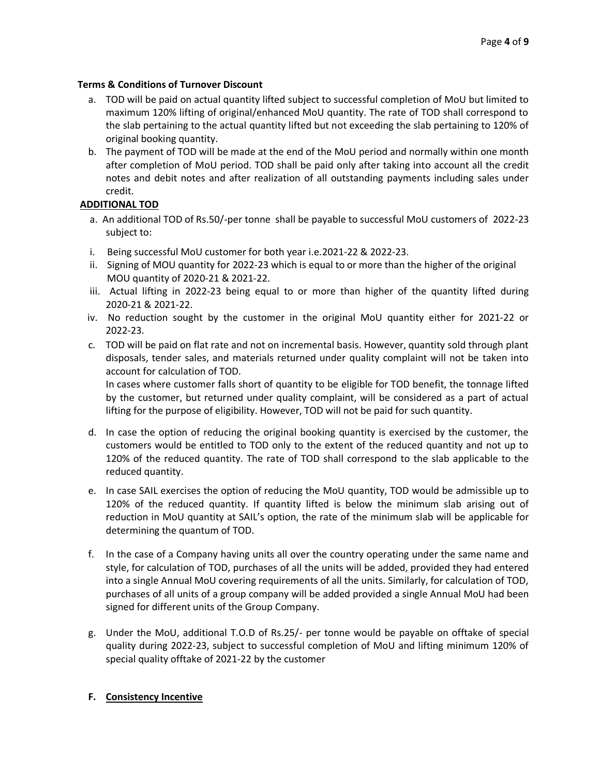## **Terms & Conditions of Turnover Discount**

- a. TOD will be paid on actual quantity lifted subject to successful completion of MoU but limited to maximum 120% lifting of original/enhanced MoU quantity. The rate of TOD shall correspond to the slab pertaining to the actual quantity lifted but not exceeding the slab pertaining to 120% of original booking quantity.
- b. The payment of TOD will be made at the end of the MoU period and normally within one month after completion of MoU period. TOD shall be paid only after taking into account all the credit notes and debit notes and after realization of all outstanding payments including sales under credit.

## **ADDITIONAL TOD**

- a. An additional TOD of Rs.50/-per tonne shall be payable to successful MoU customers of 2022-23 subject to:
- i. Being successful MoU customer for both year i.e.2021-22 & 2022-23.
- ii. Signing of MOU quantity for 2022-23 which is equal to or more than the higher of the original MOU quantity of 2020-21 & 2021-22.
- iii. Actual lifting in 2022-23 being equal to or more than higher of the quantity lifted during 2020-21 & 2021-22.
- iv. No reduction sought by the customer in the original MoU quantity either for 2021-22 or 2022-23.
- c. TOD will be paid on flat rate and not on incremental basis. However, quantity sold through plant disposals, tender sales, and materials returned under quality complaint will not be taken into account for calculation of TOD.

In cases where customer falls short of quantity to be eligible for TOD benefit, the tonnage lifted by the customer, but returned under quality complaint, will be considered as a part of actual lifting for the purpose of eligibility. However, TOD will not be paid for such quantity.

- d. In case the option of reducing the original booking quantity is exercised by the customer, the customers would be entitled to TOD only to the extent of the reduced quantity and not up to 120% of the reduced quantity. The rate of TOD shall correspond to the slab applicable to the reduced quantity.
- e. In case SAIL exercises the option of reducing the MoU quantity, TOD would be admissible up to 120% of the reduced quantity. If quantity lifted is below the minimum slab arising out of reduction in MoU quantity at SAIL's option, the rate of the minimum slab will be applicable for determining the quantum of TOD.
- f. In the case of a Company having units all over the country operating under the same name and style, for calculation of TOD, purchases of all the units will be added, provided they had entered into a single Annual MoU covering requirements of all the units. Similarly, for calculation of TOD, purchases of all units of a group company will be added provided a single Annual MoU had been signed for different units of the Group Company.
- g. Under the MoU, additional T.O.D of Rs.25/- per tonne would be payable on offtake of special quality during 2022-23, subject to successful completion of MoU and lifting minimum 120% of special quality offtake of 2021-22 by the customer

## **F. Consistency Incentive**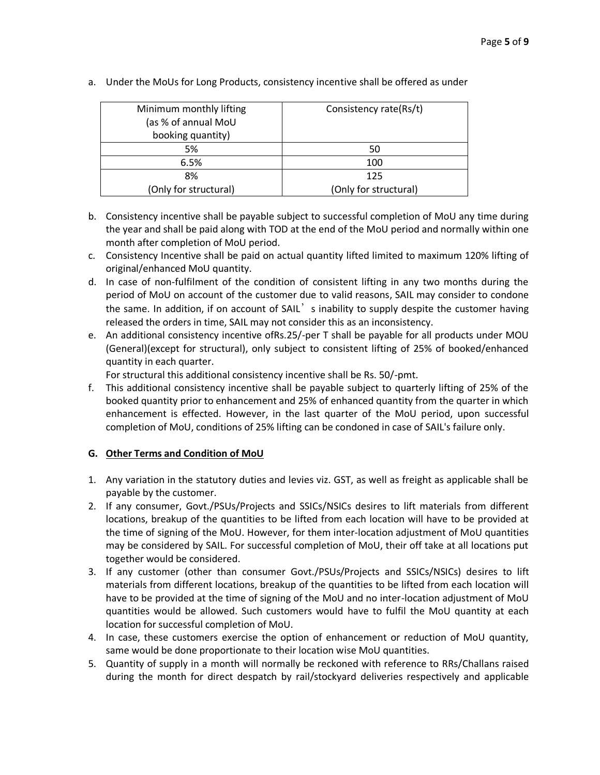| Minimum monthly lifting | Consistency rate(Rs/t) |  |  |
|-------------------------|------------------------|--|--|
| (as % of annual MoU     |                        |  |  |
| booking quantity)       |                        |  |  |
| 5%                      | 50                     |  |  |
| 6.5%                    | 100                    |  |  |
| 8%                      | 125                    |  |  |
| (Only for structural)   | (Only for structural)  |  |  |

a. Under the MoUs for Long Products, consistency incentive shall be offered as under

- b. Consistency incentive shall be payable subject to successful completion of MoU any time during the year and shall be paid along with TOD at the end of the MoU period and normally within one month after completion of MoU period.
- c. Consistency Incentive shall be paid on actual quantity lifted limited to maximum 120% lifting of original/enhanced MoU quantity.
- d. In case of non-fulfilment of the condition of consistent lifting in any two months during the period of MoU on account of the customer due to valid reasons, SAIL may consider to condone the same. In addition, if on account of SAIL's inability to supply despite the customer having released the orders in time, SAIL may not consider this as an inconsistency.
- e. An additional consistency incentive ofRs.25/-per T shall be payable for all products under MOU (General)(except for structural), only subject to consistent lifting of 25% of booked/enhanced quantity in each quarter.

For structural this additional consistency incentive shall be Rs. 50/-pmt.

f. This additional consistency incentive shall be payable subject to quarterly lifting of 25% of the booked quantity prior to enhancement and 25% of enhanced quantity from the quarter in which enhancement is effected. However, in the last quarter of the MoU period, upon successful completion of MoU, conditions of 25% lifting can be condoned in case of SAIL's failure only.

## **G. Other Terms and Condition of MoU**

- 1. Any variation in the statutory duties and levies viz. GST, as well as freight as applicable shall be payable by the customer.
- 2. If any consumer, Govt./PSUs/Projects and SSICs/NSICs desires to lift materials from different locations, breakup of the quantities to be lifted from each location will have to be provided at the time of signing of the MoU. However, for them inter-location adjustment of MoU quantities may be considered by SAIL. For successful completion of MoU, their off take at all locations put together would be considered.
- 3. If any customer (other than consumer Govt./PSUs/Projects and SSICs/NSICs) desires to lift materials from different locations, breakup of the quantities to be lifted from each location will have to be provided at the time of signing of the MoU and no inter-location adjustment of MoU quantities would be allowed. Such customers would have to fulfil the MoU quantity at each location for successful completion of MoU.
- 4. In case, these customers exercise the option of enhancement or reduction of MoU quantity, same would be done proportionate to their location wise MoU quantities.
- 5. Quantity of supply in a month will normally be reckoned with reference to RRs/Challans raised during the month for direct despatch by rail/stockyard deliveries respectively and applicable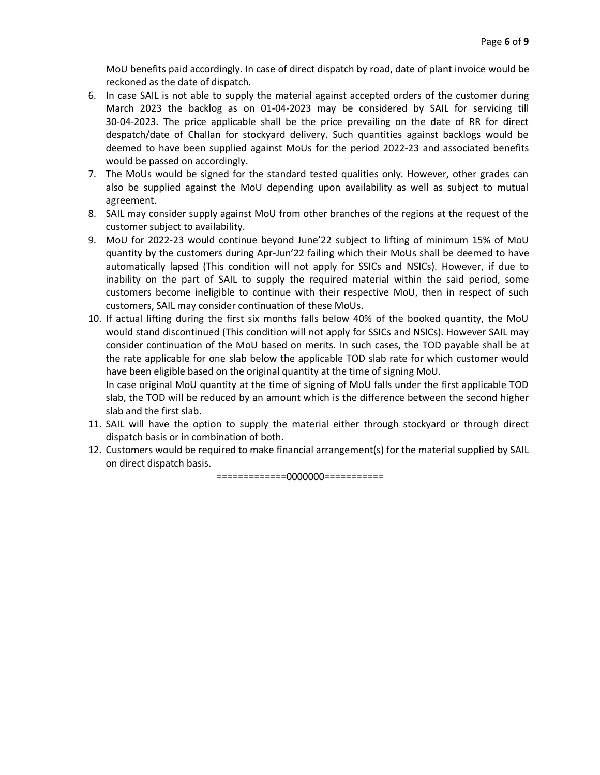MoU benefits paid accordingly. In case of direct dispatch by road, date of plant invoice would be reckoned as the date of dispatch.

- 6. In case SAIL is not able to supply the material against accepted orders of the customer during March 2023 the backlog as on 01-04-2023 may be considered by SAIL for servicing till 30-04-2023. The price applicable shall be the price prevailing on the date of RR for direct despatch/date of Challan for stockyard delivery. Such quantities against backlogs would be deemed to have been supplied against MoUs for the period 2022-23 and associated benefits would be passed on accordingly.
- 7. The MoUs would be signed for the standard tested qualities only. However, other grades can also be supplied against the MoU depending upon availability as well as subject to mutual agreement.
- 8. SAIL may consider supply against MoU from other branches of the regions at the request of the customer subject to availability.
- 9. MoU for 2022-23 would continue beyond June'22 subject to lifting of minimum 15% of MoU quantity by the customers during Apr-Jun'22 failing which their MoUs shall be deemed to have automatically lapsed (This condition will not apply for SSICs and NSICs). However, if due to inability on the part of SAIL to supply the required material within the said period, some customers become ineligible to continue with their respective MoU, then in respect of such customers, SAIL may consider continuation of these MoUs.
- 10. If actual lifting during the first six months falls below 40% of the booked quantity, the MoU would stand discontinued (This condition will not apply for SSICs and NSICs). However SAIL may consider continuation of the MoU based on merits. In such cases, the TOD payable shall be at the rate applicable for one slab below the applicable TOD slab rate for which customer would have been eligible based on the original quantity at the time of signing MoU.

In case original MoU quantity at the time of signing of MoU falls under the first applicable TOD slab, the TOD will be reduced by an amount which is the difference between the second higher slab and the first slab.

- 11. SAIL will have the option to supply the material either through stockyard or through direct dispatch basis or in combination of both.
- 12. Customers would be required to make financial arrangement(s) for the material supplied by SAIL on direct dispatch basis.

=============0000000===========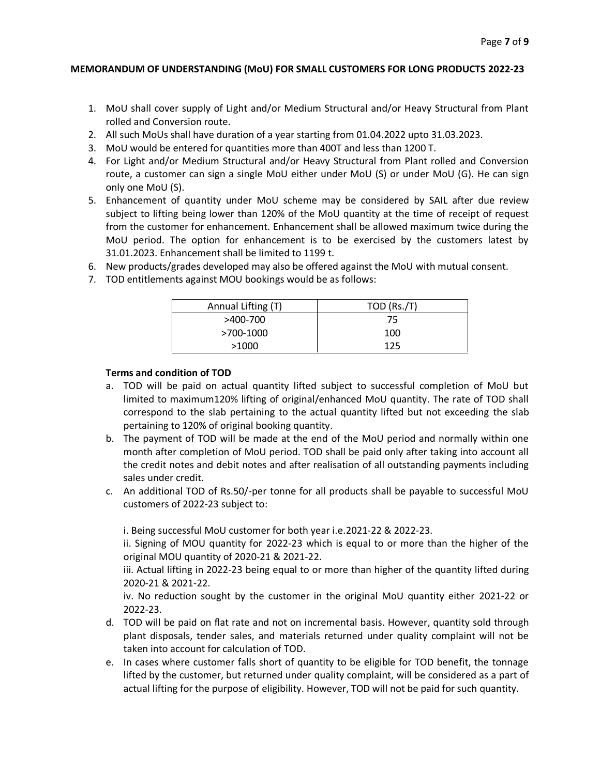#### **MEMORANDUM OF UNDERSTANDING (MoU) FOR SMALL CUSTOMERS FOR LONG PRODUCTS 2022-23**

- 1. MoU shall cover supply of Light and/or Medium Structural and/or Heavy Structural from Plant rolled and Conversion route.
- 2. All such MoUs shall have duration of a year starting from 01.04.2022 upto 31.03.2023.
- 3. MoU would be entered for quantities more than 400T and less than 1200 T.
- 4. For Light and/or Medium Structural and/or Heavy Structural from Plant rolled and Conversion route, a customer can sign a single MoU either under MoU (S) or under MoU (G). He can sign only one MoU (S).
- 5. Enhancement of quantity under MoU scheme may be considered by SAIL after due review subject to lifting being lower than 120% of the MoU quantity at the time of receipt of request from the customer for enhancement. Enhancement shall be allowed maximum twice during the MoU period. The option for enhancement is to be exercised by the customers latest by 31.01.2023. Enhancement shall be limited to 1199 t.
- 6. New products/grades developed may also be offered against the MoU with mutual consent.
- 7. TOD entitlements against MOU bookings would be as follows:

| Annual Lifting (T) | TOD (Rs./T) |  |  |
|--------------------|-------------|--|--|
| >400-700           | 75          |  |  |
| >700-1000          | 100         |  |  |
| >1000              | 125         |  |  |

#### **Terms and condition of TOD**

- a. TOD will be paid on actual quantity lifted subject to successful completion of MoU but limited to maximum120% lifting of original/enhanced MoU quantity. The rate of TOD shall correspond to the slab pertaining to the actual quantity lifted but not exceeding the slab pertaining to 120% of original booking quantity.
- b. The payment of TOD will be made at the end of the MoU period and normally within one month after completion of MoU period. TOD shall be paid only after taking into account all the credit notes and debit notes and after realisation of all outstanding payments including sales under credit.
- c. An additional TOD of Rs.50/-per tonne for all products shall be payable to successful MoU customers of 2022-23 subject to:

i. Being successful MoU customer for both year i.e.2021-22 & 2022-23.

ii. Signing of MOU quantity for 2022-23 which is equal to or more than the higher of the original MOU quantity of 2020-21 & 2021-22.

iii. Actual lifting in 2022-23 being equal to or more than higher of the quantity lifted during 2020-21 & 2021-22.

iv. No reduction sought by the customer in the original MoU quantity either 2021-22 or 2022-23.

- d. TOD will be paid on flat rate and not on incremental basis. However, quantity sold through plant disposals, tender sales, and materials returned under quality complaint will not be taken into account for calculation of TOD.
- e. In cases where customer falls short of quantity to be eligible for TOD benefit, the tonnage lifted by the customer, but returned under quality complaint, will be considered as a part of actual lifting for the purpose of eligibility. However, TOD will not be paid for such quantity.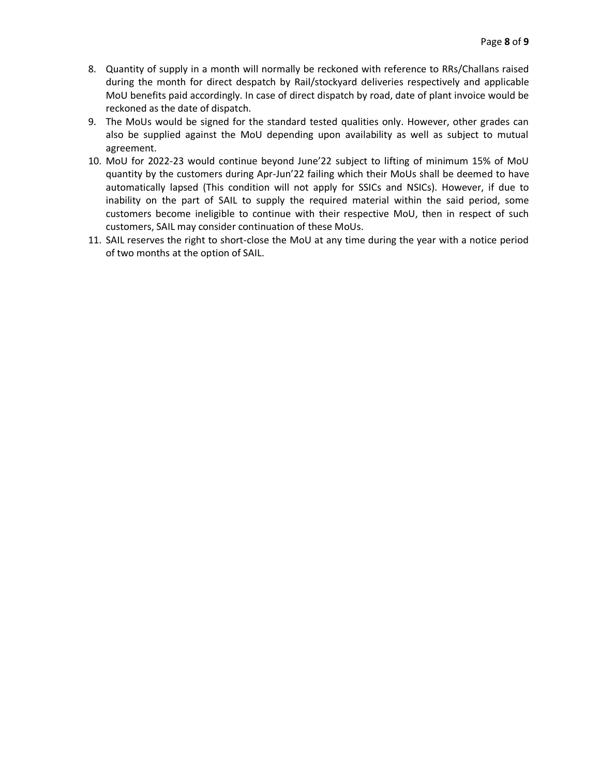- 8. Quantity of supply in a month will normally be reckoned with reference to RRs/Challans raised during the month for direct despatch by Rail/stockyard deliveries respectively and applicable MoU benefits paid accordingly. In case of direct dispatch by road, date of plant invoice would be reckoned as the date of dispatch.
- 9. The MoUs would be signed for the standard tested qualities only. However, other grades can also be supplied against the MoU depending upon availability as well as subject to mutual agreement.
- 10. MoU for 2022-23 would continue beyond June'22 subject to lifting of minimum 15% of MoU quantity by the customers during Apr-Jun'22 failing which their MoUs shall be deemed to have automatically lapsed (This condition will not apply for SSICs and NSICs). However, if due to inability on the part of SAIL to supply the required material within the said period, some customers become ineligible to continue with their respective MoU, then in respect of such customers, SAIL may consider continuation of these MoUs.
- 11. SAIL reserves the right to short-close the MoU at any time during the year with a notice period of two months at the option of SAIL.